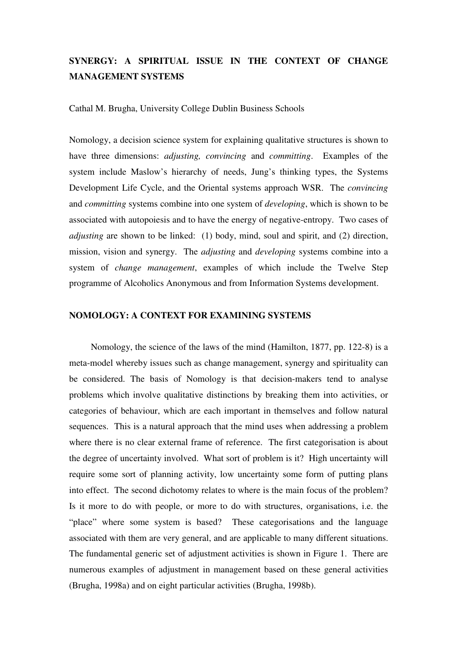# **SYNERGY: A SPIRITUAL ISSUE IN THE CONTEXT OF CHANGE MANAGEMENT SYSTEMS**

Cathal M. Brugha, University College Dublin Business Schools

Nomology, a decision science system for explaining qualitative structures is shown to have three dimensions: *adjusting, convincing* and *committing*. Examples of the system include Maslow's hierarchy of needs, Jung's thinking types, the Systems Development Life Cycle, and the Oriental systems approach WSR. The *convincing* and *committing* systems combine into one system of *developing*, which is shown to be associated with autopoiesis and to have the energy of negative-entropy. Two cases of *adjusting* are shown to be linked: (1) body, mind, soul and spirit, and (2) direction, mission, vision and synergy. The *adjusting* and *developing* systems combine into a system of *change management*, examples of which include the Twelve Step programme of Alcoholics Anonymous and from Information Systems development.

## **NOMOLOGY: A CONTEXT FOR EXAMINING SYSTEMS**

Nomology, the science of the laws of the mind (Hamilton, 1877, pp. 122-8) is a meta-model whereby issues such as change management, synergy and spirituality can be considered. The basis of Nomology is that decision-makers tend to analyse problems which involve qualitative distinctions by breaking them into activities, or categories of behaviour, which are each important in themselves and follow natural sequences. This is a natural approach that the mind uses when addressing a problem where there is no clear external frame of reference. The first categorisation is about the degree of uncertainty involved. What sort of problem is it? High uncertainty will require some sort of planning activity, low uncertainty some form of putting plans into effect. The second dichotomy relates to where is the main focus of the problem? Is it more to do with people, or more to do with structures, organisations, i.e. the "place" where some system is based? These categorisations and the language associated with them are very general, and are applicable to many different situations. The fundamental generic set of adjustment activities is shown in Figure 1. There are numerous examples of adjustment in management based on these general activities (Brugha, 1998a) and on eight particular activities (Brugha, 1998b).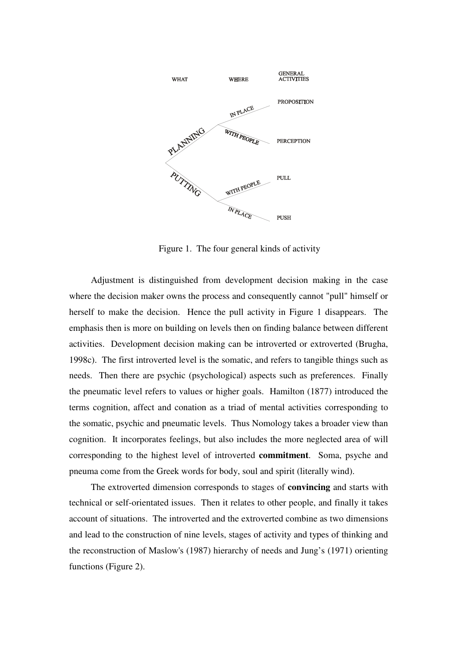

Figure 1. The four general kinds of activity

Adjustment is distinguished from development decision making in the case where the decision maker owns the process and consequently cannot "pull" himself or herself to make the decision. Hence the pull activity in Figure 1 disappears. The emphasis then is more on building on levels then on finding balance between different activities. Development decision making can be introverted or extroverted (Brugha, 1998c). The first introverted level is the somatic, and refers to tangible things such as needs. Then there are psychic (psychological) aspects such as preferences. Finally the pneumatic level refers to values or higher goals. Hamilton (1877) introduced the terms cognition, affect and conation as a triad of mental activities corresponding to the somatic, psychic and pneumatic levels. Thus Nomology takes a broader view than cognition. It incorporates feelings, but also includes the more neglected area of will corresponding to the highest level of introverted **commitment**. Soma, psyche and pneuma come from the Greek words for body, soul and spirit (literally wind).

The extroverted dimension corresponds to stages of **convincing** and starts with technical or self-orientated issues. Then it relates to other people, and finally it takes account of situations. The introverted and the extroverted combine as two dimensions and lead to the construction of nine levels, stages of activity and types of thinking and the reconstruction of Maslow's (1987) hierarchy of needs and Jung's (1971) orienting functions (Figure 2).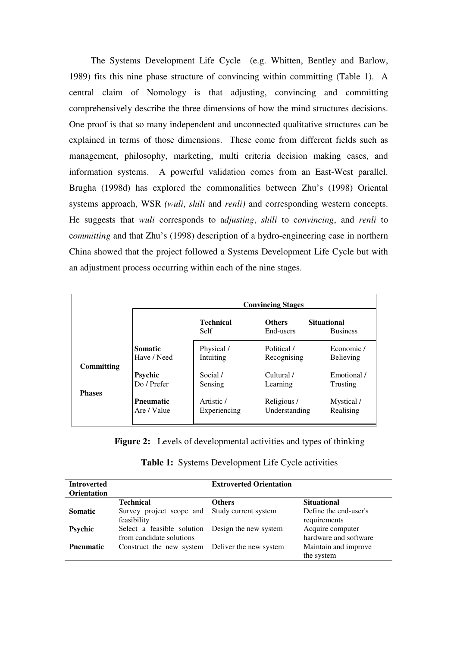The Systems Development Life Cycle (e.g. Whitten, Bentley and Barlow, 1989) fits this nine phase structure of convincing within committing (Table 1). A central claim of Nomology is that adjusting, convincing and committing comprehensively describe the three dimensions of how the mind structures decisions. One proof is that so many independent and unconnected qualitative structures can be explained in terms of those dimensions. These come from different fields such as management, philosophy, marketing, multi criteria decision making cases, and information systems. A powerful validation comes from an East-West parallel. Brugha (1998d) has explored the commonalities between Zhu's (1998) Oriental systems approach, WSR *(wuli*, *shili* and *renli)* and corresponding western concepts. He suggests that *wuli* corresponds to a*djusting*, *shili* to c*onvincing*, and *renli* to c*ommitting* and that Zhu's (1998) description of a hydro-engineering case in northern China showed that the project followed a Systems Development Life Cycle but with an adjustment process occurring within each of the nine stages.

|               |                  | <b>Convincing Stages</b>        |                            |                                       |
|---------------|------------------|---------------------------------|----------------------------|---------------------------------------|
|               |                  | <b>Technical</b><br><b>Self</b> | <b>Others</b><br>End-users | <b>Situational</b><br><b>Business</b> |
|               | <b>Somatic</b>   | Physical /                      | Political /                | Economic/                             |
|               | Have / Need      | Intuiting                       | Recognising                | <b>Believing</b>                      |
| Committing    | <b>Psychic</b>   | Social /                        | Cultural /                 | Emotional /                           |
|               | Do / Prefer      | Sensing                         | Learning                   | Trusting                              |
| <b>Phases</b> | <b>Pneumatic</b> | Artistic/                       | Religious /                | Mystical /                            |
|               | Are / Value      | Experiencing                    | Understanding              | Realising                             |

**Figure 2:** Levels of developmental activities and types of thinking

| <b>Introverted</b><br><b>Orientation</b> |                                                                              | <b>Extroverted Orientation</b> |                                           |
|------------------------------------------|------------------------------------------------------------------------------|--------------------------------|-------------------------------------------|
|                                          | <b>Technical</b>                                                             | <b>Others</b>                  | <b>Situational</b>                        |
| <b>Somatic</b>                           | Survey project scope and<br>feasibility                                      | Study current system           | Define the end-user's<br>requirements     |
| <b>Psychic</b>                           | Select a feasible solution Design the new system<br>from candidate solutions |                                | Acquire computer<br>hardware and software |
| <b>P</b> neumatic                        | Construct the new system Deliver the new system                              |                                | Maintain and improve<br>the system        |

**Table 1:** Systems Development Life Cycle activities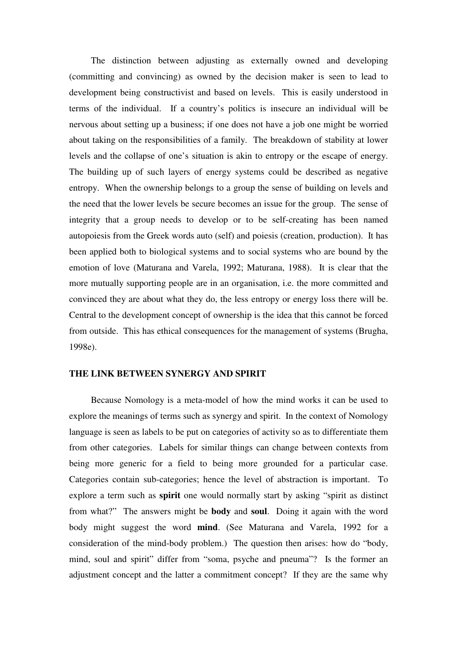The distinction between adjusting as externally owned and developing (committing and convincing) as owned by the decision maker is seen to lead to development being constructivist and based on levels. This is easily understood in terms of the individual. If a country's politics is insecure an individual will be nervous about setting up a business; if one does not have a job one might be worried about taking on the responsibilities of a family. The breakdown of stability at lower levels and the collapse of one's situation is akin to entropy or the escape of energy. The building up of such layers of energy systems could be described as negative entropy. When the ownership belongs to a group the sense of building on levels and the need that the lower levels be secure becomes an issue for the group. The sense of integrity that a group needs to develop or to be self-creating has been named autopoiesis from the Greek words auto (self) and poiesis (creation, production). It has been applied both to biological systems and to social systems who are bound by the emotion of love (Maturana and Varela, 1992; Maturana, 1988). It is clear that the more mutually supporting people are in an organisation, i.e. the more committed and convinced they are about what they do, the less entropy or energy loss there will be. Central to the development concept of ownership is the idea that this cannot be forced from outside. This has ethical consequences for the management of systems (Brugha, 1998e).

### **THE LINK BETWEEN SYNERGY AND SPIRIT**

Because Nomology is a meta-model of how the mind works it can be used to explore the meanings of terms such as synergy and spirit. In the context of Nomology language is seen as labels to be put on categories of activity so as to differentiate them from other categories. Labels for similar things can change between contexts from being more generic for a field to being more grounded for a particular case. Categories contain sub-categories; hence the level of abstraction is important. To explore a term such as **spirit** one would normally start by asking "spirit as distinct from what?" The answers might be **body** and **soul**. Doing it again with the word body might suggest the word **mind**. (See Maturana and Varela, 1992 for a consideration of the mind-body problem.) The question then arises: how do "body, mind, soul and spirit" differ from "soma, psyche and pneuma"? Is the former an adjustment concept and the latter a commitment concept? If they are the same why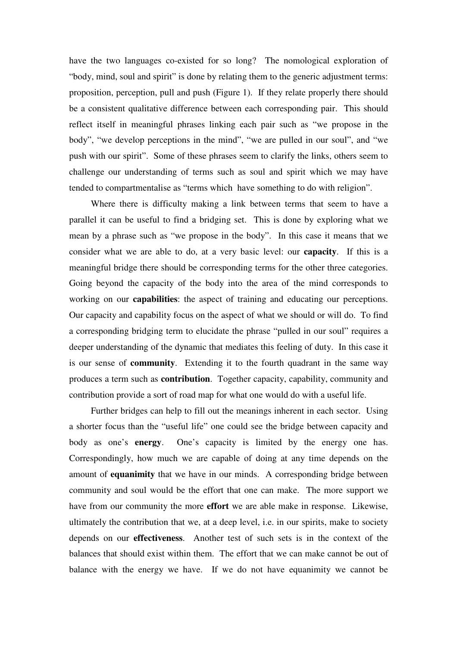have the two languages co-existed for so long? The nomological exploration of "body, mind, soul and spirit" is done by relating them to the generic adjustment terms: proposition, perception, pull and push (Figure 1). If they relate properly there should be a consistent qualitative difference between each corresponding pair. This should reflect itself in meaningful phrases linking each pair such as "we propose in the body", "we develop perceptions in the mind", "we are pulled in our soul", and "we push with our spirit". Some of these phrases seem to clarify the links, others seem to challenge our understanding of terms such as soul and spirit which we may have tended to compartmentalise as "terms which have something to do with religion".

Where there is difficulty making a link between terms that seem to have a parallel it can be useful to find a bridging set. This is done by exploring what we mean by a phrase such as "we propose in the body". In this case it means that we consider what we are able to do, at a very basic level: our **capacity**. If this is a meaningful bridge there should be corresponding terms for the other three categories. Going beyond the capacity of the body into the area of the mind corresponds to working on our **capabilities**: the aspect of training and educating our perceptions. Our capacity and capability focus on the aspect of what we should or will do. To find a corresponding bridging term to elucidate the phrase "pulled in our soul" requires a deeper understanding of the dynamic that mediates this feeling of duty. In this case it is our sense of **community**. Extending it to the fourth quadrant in the same way produces a term such as **contribution**. Together capacity, capability, community and contribution provide a sort of road map for what one would do with a useful life.

Further bridges can help to fill out the meanings inherent in each sector. Using a shorter focus than the "useful life" one could see the bridge between capacity and body as one's **energy**. One's capacity is limited by the energy one has. Correspondingly, how much we are capable of doing at any time depends on the amount of **equanimity** that we have in our minds. A corresponding bridge between community and soul would be the effort that one can make. The more support we have from our community the more **effort** we are able make in response. Likewise, ultimately the contribution that we, at a deep level, i.e. in our spirits, make to society depends on our **effectiveness**. Another test of such sets is in the context of the balances that should exist within them. The effort that we can make cannot be out of balance with the energy we have. If we do not have equanimity we cannot be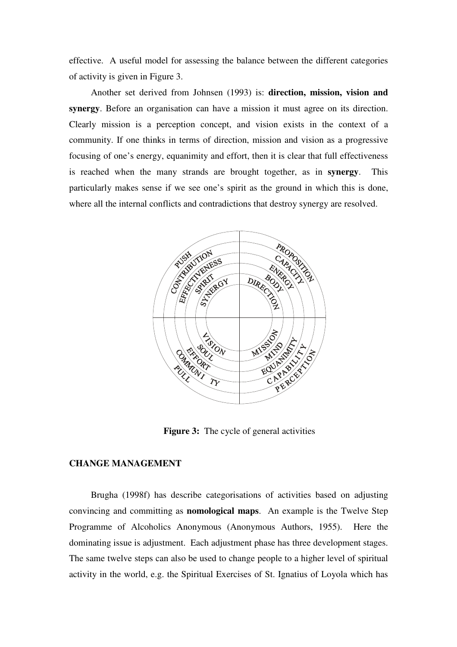effective. A useful model for assessing the balance between the different categories of activity is given in Figure 3.

Another set derived from Johnsen (1993) is: **direction, mission, vision and synergy**. Before an organisation can have a mission it must agree on its direction. Clearly mission is a perception concept, and vision exists in the context of a community. If one thinks in terms of direction, mission and vision as a progressive focusing of one's energy, equanimity and effort, then it is clear that full effectiveness is reached when the many strands are brought together, as in **synergy**. This particularly makes sense if we see one's spirit as the ground in which this is done, where all the internal conflicts and contradictions that destroy synergy are resolved.



**Figure 3:** The cycle of general activities

#### **CHANGE MANAGEMENT**

Brugha (1998f) has describe categorisations of activities based on adjusting convincing and committing as **nomological maps**. An example is the Twelve Step Programme of Alcoholics Anonymous (Anonymous Authors, 1955). Here the dominating issue is adjustment. Each adjustment phase has three development stages. The same twelve steps can also be used to change people to a higher level of spiritual activity in the world, e.g. the Spiritual Exercises of St. Ignatius of Loyola which has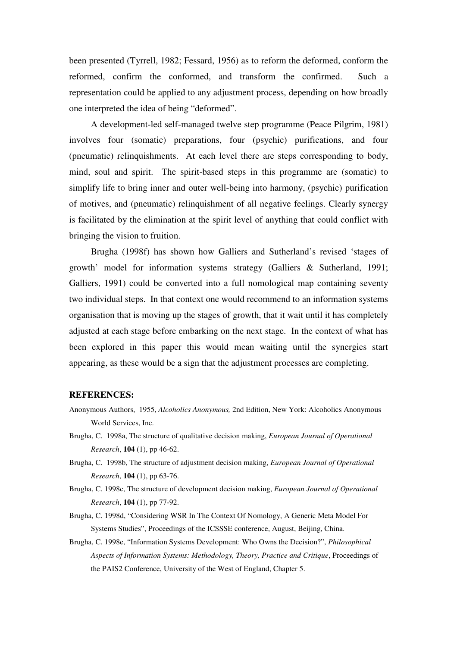been presented (Tyrrell, 1982; Fessard, 1956) as to reform the deformed, conform the reformed, confirm the conformed, and transform the confirmed. Such a representation could be applied to any adjustment process, depending on how broadly one interpreted the idea of being "deformed".

A development-led self-managed twelve step programme (Peace Pilgrim, 1981) involves four (somatic) preparations, four (psychic) purifications, and four (pneumatic) relinquishments. At each level there are steps corresponding to body, mind, soul and spirit. The spirit-based steps in this programme are (somatic) to simplify life to bring inner and outer well-being into harmony, (psychic) purification of motives, and (pneumatic) relinquishment of all negative feelings. Clearly synergy is facilitated by the elimination at the spirit level of anything that could conflict with bringing the vision to fruition.

Brugha (1998f) has shown how Galliers and Sutherland's revised 'stages of growth' model for information systems strategy (Galliers & Sutherland, 1991; Galliers, 1991) could be converted into a full nomological map containing seventy two individual steps. In that context one would recommend to an information systems organisation that is moving up the stages of growth, that it wait until it has completely adjusted at each stage before embarking on the next stage. In the context of what has been explored in this paper this would mean waiting until the synergies start appearing, as these would be a sign that the adjustment processes are completing.

#### **REFERENCES:**

- Anonymous Authors, 1955, *Alcoholics Anonymous,* 2nd Edition, New York: Alcoholics Anonymous World Services, Inc.
- Brugha, C. 1998a, The structure of qualitative decision making, *European Journal of Operational Research*, **104** (1), pp 46-62.
- Brugha, C. 1998b, The structure of adjustment decision making, *European Journal of Operational Research*, **104** (1), pp 63-76.
- Brugha, C. 1998c, The structure of development decision making, *European Journal of Operational Research*, **104** (1), pp 77-92.
- Brugha, C. 1998d, "Considering WSR In The Context Of Nomology, A Generic Meta Model For Systems Studies", Proceedings of the ICSSSE conference, August, Beijing, China.
- Brugha, C. 1998e, "Information Systems Development: Who Owns the Decision?", *Philosophical Aspects of Information Systems: Methodology, Theory, Practice and Critique*, Proceedings of the PAIS2 Conference, University of the West of England, Chapter 5.